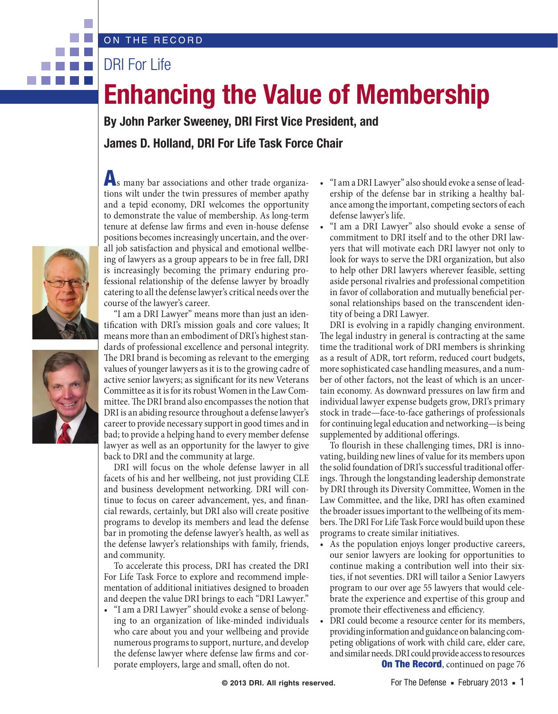## ON THE RECORD

DRI For Life

## **Enhancing the Value of Membership**

**By John Parker Sweeney, DRI First Vice President, and James D. Holland, DRI For Life Task Force Chair**



. . .



As many bar associations and other trade organizations wilt under the twin pressures of member apathy and a tepid economy, DRI welcomes the opportunity to demonstrate the value of membership. As long-term tenure at defense law firms and even in-house defense positions becomes increasingly uncertain, and the overall job satisfaction and physical and emotional wellbeing of lawyers as a group appears to be in free fall, DRI is increasingly becoming the primary enduring professional relationship of the defense lawyer by broadly catering to all the defense lawyer's critical needs over the course of the lawyer's career.

"I am a DRI Lawyer" means more than just an identification with DRI's mission goals and core values; It means more than an embodiment of DRI's highest standards of professional excellence and personal integrity. The DRI brand is becoming as relevant to the emerging values of younger lawyers as it is to the growing cadre of active senior lawyers; as significant for its new Veterans Committee as it is for its robust Women in the Law Committee. The DRI brand also encompasses the notion that DRI is an abiding resource throughout a defense lawyer's career to provide necessary support in good times and in bad; to provide a helping hand to every member defense lawyer as well as an opportunity for the lawyer to give back to DRI and the community at large.

DRI will focus on the whole defense lawyer in all facets of his and her wellbeing, not just providing CLE and business development networking. DRI will continue to focus on career advancement, yes, and financial rewards, certainly, but DRI also will create positive programs to develop its members and lead the defense bar in promoting the defense lawyer's health, as well as the defense lawyer's relationships with family, friends, and community.

To accelerate this process, DRI has created the DRI For Life Task Force to explore and recommend implementation of additional initiatives designed to broaden and deepen the value DRI brings to each "DRI Lawyer."

• "I am a DRI Lawyer" should evoke a sense of belonging to an organization of like-minded individuals who care about you and your wellbeing and provide numerous programs to support, nurture, and develop the defense lawyer where defense law firms and corporate employers, large and small, often do not.

- "I am a DRI Lawyer" also should evoke a sense of leadership of the defense bar in striking a healthy balance among the important, competing sectors of each defense lawyer's life.
- "I am a DRI Lawyer" also should evoke a sense of commitment to DRI itself and to the other DRI lawyers that will motivate each DRI lawyer not only to look for ways to serve the DRI organization, but also to help other DRI lawyers wherever feasible, setting aside personal rivalries and professional competition in favor of collaboration and mutually beneficial personal relationships based on the transcendent identity of being a DRI Lawyer.

DRI is evolving in a rapidly changing environment. The legal industry in general is contracting at the same time the traditional work of DRI members is shrinking as a result of ADR, tort reform, reduced court budgets, more sophisticated case handling measures, and a number of other factors, not the least of which is an uncertain economy. As downward pressures on law firm and individual lawyer expense budgets grow, DRI's primary stock in trade—face-to-face gatherings of professionals for continuing legal education and networking—is being supplemented by additional offerings.

To flourish in these challenging times, DRI is innovating, building new lines of value for its members upon the solid foundation of DRI's successful traditional offerings. Through the longstanding leadership demonstrate by DRI through its Diversity Committee, Women in the Law Committee, and the like, DRI has often examined the broader issues important to the wellbeing of its members. The DRI For Life Task Force would build upon these programs to create similar initiatives.

- • As the population enjoys longer productive careers, our senior lawyers are looking for opportunities to continue making a contribution well into their sixties, if not seventies. DRI will tailor a Senior Lawyers program to our over age 55 lawyers that would celebrate the experience and expertise of this group and promote their effectiveness and efficiency.
- **On The Record, continued on page 76** DRI could become a resource center for its members, providing information and guidance on balancing competing obligations of work with child care, elder care, and similar needs. DRI could provide access to resources